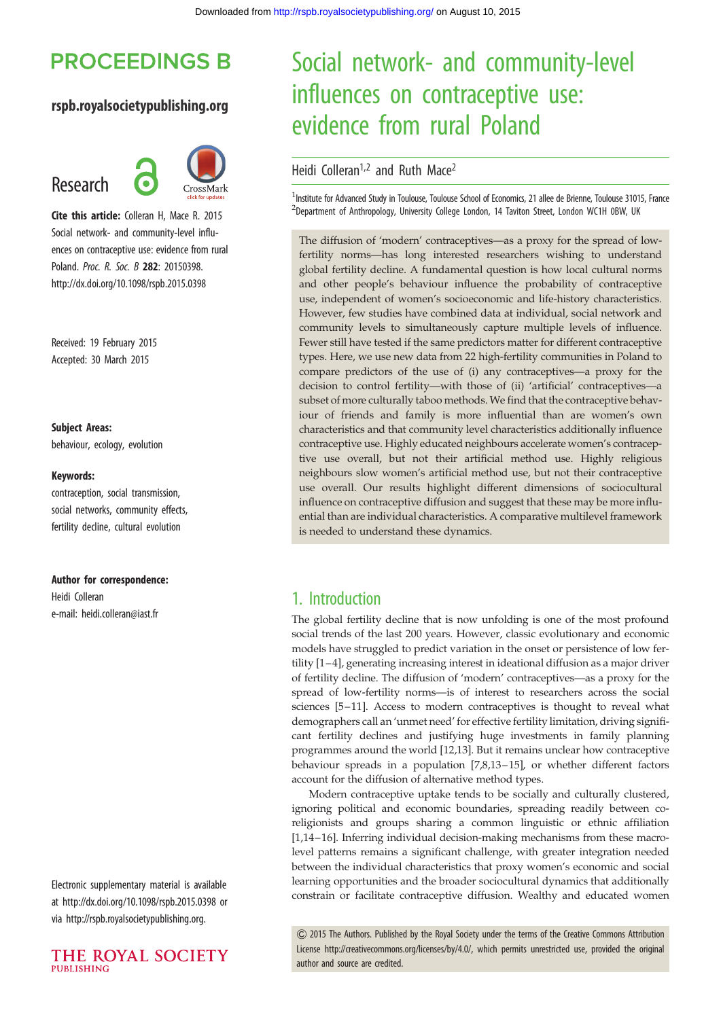# **PROCEEDINGS B**

#### rspb.royalsocietypublishing.org

# Research



Cite this article: Colleran H, Mace R. 2015 Social network- and community-level influences on contraceptive use: evidence from rural Poland. Proc. R. Soc. B 282: 20150398. http://dx.doi.org/10.1098/rspb.2015.0398

Received: 19 February 2015 Accepted: 30 March 2015

Subject Areas:

behaviour, ecology, evolution

#### Keywords:

contraception, social transmission, social networks, community effects, fertility decline, cultural evolution

#### Author for correspondence:

Heidi Colleran e-mail: [heidi.colleran@iast.fr](mailto:heidi.colleran@iast.fr)

Electronic supplementary material is available at<http://dx.doi.org/10.1098/rspb.2015.0398> or via<http://rspb.royalsocietypublishing.org>.



# Social network- and community-level influences on contraceptive use: evidence from rural Poland

### Heidi Colleran<sup>1,2</sup> and Ruth Mace<sup>2</sup>

<sup>1</sup>Institute for Advanced Study in Toulouse, Toulouse School of Economics, 21 allee de Brienne, Toulouse 31015, France <sup>2</sup>Department of Anthropology, University College London, 14 Taviton Street, London WC1H 0BW, UK

The diffusion of 'modern' contraceptives—as a proxy for the spread of lowfertility norms—has long interested researchers wishing to understand global fertility decline. A fundamental question is how local cultural norms and other people's behaviour influence the probability of contraceptive use, independent of women's socioeconomic and life-history characteristics. However, few studies have combined data at individual, social network and community levels to simultaneously capture multiple levels of influence. Fewer still have tested if the same predictors matter for different contraceptive types. Here, we use new data from 22 high-fertility communities in Poland to compare predictors of the use of (i) any contraceptives—a proxy for the decision to control fertility—with those of (ii) 'artificial' contraceptives—a subset of more culturally taboo methods. We find that the contraceptive behaviour of friends and family is more influential than are women's own characteristics and that community level characteristics additionally influence contraceptive use. Highly educated neighbours accelerate women's contraceptive use overall, but not their artificial method use. Highly religious neighbours slow women's artificial method use, but not their contraceptive use overall. Our results highlight different dimensions of sociocultural influence on contraceptive diffusion and suggest that these may be more influential than are individual characteristics. A comparative multilevel framework is needed to understand these dynamics.

#### 1. Introduction

The global fertility decline that is now unfolding is one of the most profound social trends of the last 200 years. However, classic evolutionary and economic models have struggled to predict variation in the onset or persistence of low fertility [[1](#page-7-0)–[4](#page-7-0)], generating increasing interest in ideational diffusion as a major driver of fertility decline. The diffusion of 'modern' contraceptives—as a proxy for the spread of low-fertility norms—is of interest to researchers across the social sciences [\[5](#page-7-0)–[11](#page-7-0)]. Access to modern contraceptives is thought to reveal what demographers call an 'unmet need' for effective fertility limitation, driving significant fertility declines and justifying huge investments in family planning programmes around the world [\[12,13](#page-7-0)]. But it remains unclear how contraceptive behaviour spreads in a population [[7,8,13](#page-7-0)–[15](#page-7-0)], or whether different factors account for the diffusion of alternative method types.

Modern contraceptive uptake tends to be socially and culturally clustered, ignoring political and economic boundaries, spreading readily between coreligionists and groups sharing a common linguistic or ethnic affiliation [[1,14](#page-7-0)–[16\]](#page-7-0). Inferring individual decision-making mechanisms from these macrolevel patterns remains a significant challenge, with greater integration needed between the individual characteristics that proxy women's economic and social learning opportunities and the broader sociocultural dynamics that additionally constrain or facilitate contraceptive diffusion. Wealthy and educated women

& 2015 The Authors. Published by the Royal Society under the terms of the Creative Commons Attribution License http://creativecommons.org/licenses/by/4.0/, which permits unrestricted use, provided the original author and source are credited.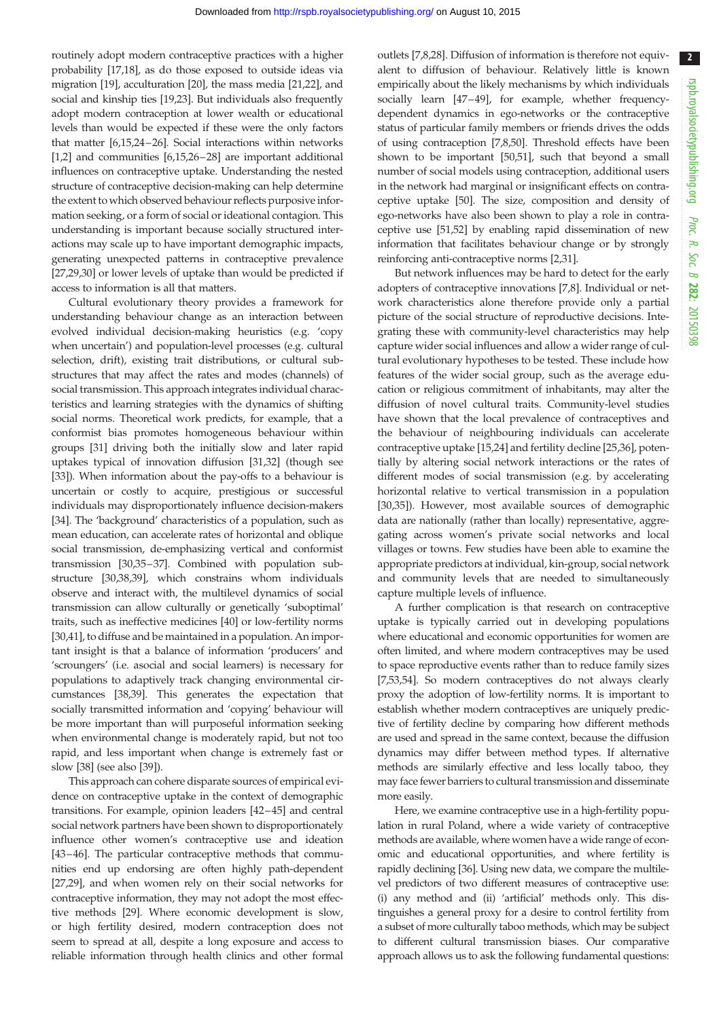routinely adopt modern contraceptive practices with a higher probability [\[17,18](#page-7-0)], as do those exposed to outside ideas via migration [[19\]](#page-7-0), acculturation [\[20\]](#page-7-0), the mass media [\[21,22\]](#page-7-0), and social and kinship ties [\[19,23\]](#page-7-0). But individuals also frequently adopt modern contraception at lower wealth or educational levels than would be expected if these were the only factors that matter [\[6,15,24](#page-7-0)–[26\]](#page-8-0). Social interactions within networks [\[1,2](#page-7-0)] and communities [\[6](#page-7-0),[15](#page-7-0),[26](#page-8-0)–[28](#page-8-0)] are important additional influences on contraceptive uptake. Understanding the nested structure of contraceptive decision-making can help determine the extent to which observed behaviour reflects purposive information seeking, or a form of social or ideational contagion. This understanding is important because socially structured interactions may scale up to have important demographic impacts, generating unexpected patterns in contraceptive prevalence [\[27,29,30](#page-8-0)] or lower levels of uptake than would be predicted if access to information is all that matters.

Cultural evolutionary theory provides a framework for understanding behaviour change as an interaction between evolved individual decision-making heuristics (e.g. 'copy when uncertain') and population-level processes (e.g. cultural selection, drift), existing trait distributions, or cultural substructures that may affect the rates and modes (channels) of social transmission. This approach integrates individual characteristics and learning strategies with the dynamics of shifting social norms. Theoretical work predicts, for example, that a conformist bias promotes homogeneous behaviour within groups [\[31\]](#page-8-0) driving both the initially slow and later rapid uptakes typical of innovation diffusion [[31,32\]](#page-8-0) (though see [\[33](#page-8-0)]). When information about the pay-offs to a behaviour is uncertain or costly to acquire, prestigious or successful individuals may disproportionately influence decision-makers [\[34](#page-8-0)]. The 'background' characteristics of a population, such as mean education, can accelerate rates of horizontal and oblique social transmission, de-emphasizing vertical and conformist transmission [[30,35](#page-8-0)–[37](#page-8-0)]. Combined with population substructure [[30,38,39\]](#page-8-0), which constrains whom individuals observe and interact with, the multilevel dynamics of social transmission can allow culturally or genetically 'suboptimal' traits, such as ineffective medicines [\[40\]](#page-8-0) or low-fertility norms [\[30,41](#page-8-0)], to diffuse and be maintained in a population. An important insight is that a balance of information 'producers' and 'scroungers' (i.e. asocial and social learners) is necessary for populations to adaptively track changing environmental circumstances [\[38,39](#page-8-0)]. This generates the expectation that socially transmitted information and 'copying' behaviour will be more important than will purposeful information seeking when environmental change is moderately rapid, but not too rapid, and less important when change is extremely fast or slow [\[38\]](#page-8-0) (see also [\[39\]](#page-8-0)).

This approach can cohere disparate sources of empirical evidence on contraceptive uptake in the context of demographic transitions. For example, opinion leaders [\[42](#page-8-0)–[45](#page-8-0)] and central social network partners have been shown to disproportionately influence other women's contraceptive use and ideation [\[43](#page-8-0)–[46](#page-8-0)]. The particular contraceptive methods that communities end up endorsing are often highly path-dependent [\[27,29](#page-8-0)], and when women rely on their social networks for contraceptive information, they may not adopt the most effective methods [[29\]](#page-8-0). Where economic development is slow, or high fertility desired, modern contraception does not seem to spread at all, despite a long exposure and access to reliable information through health clinics and other formal outlets [[7,8](#page-7-0)[,28\]](#page-8-0). Diffusion of information is therefore not equivalent to diffusion of behaviour. Relatively little is known empirically about the likely mechanisms by which individuals socially learn [\[47](#page-8-0)–[49\]](#page-8-0), for example, whether frequencydependent dynamics in ego-networks or the contraceptive status of particular family members or friends drives the odds of using contraception [[7,8,](#page-7-0)[50\]](#page-8-0). Threshold effects have been shown to be important [\[50,51](#page-8-0)], such that beyond a small number of social models using contraception, additional users in the network had marginal or insignificant effects on contraceptive uptake [[50\]](#page-8-0). The size, composition and density of ego-networks have also been shown to play a role in contraceptive use [\[51,52](#page-8-0)] by enabling rapid dissemination of new information that facilitates behaviour change or by strongly reinforcing anti-contraceptive norms [\[2](#page-7-0)[,31\]](#page-8-0).

But network influences may be hard to detect for the early adopters of contraceptive innovations [\[7,8](#page-7-0)]. Individual or network characteristics alone therefore provide only a partial picture of the social structure of reproductive decisions. Integrating these with community-level characteristics may help capture wider social influences and allow a wider range of cultural evolutionary hypotheses to be tested. These include how features of the wider social group, such as the average education or religious commitment of inhabitants, may alter the diffusion of novel cultural traits. Community-level studies have shown that the local prevalence of contraceptives and the behaviour of neighbouring individuals can accelerate contraceptive uptake [[15,24\]](#page-7-0) and fertility decline [[25,36\]](#page-8-0), potentially by altering social network interactions or the rates of different modes of social transmission (e.g. by accelerating horizontal relative to vertical transmission in a population [[30,35\]](#page-8-0)). However, most available sources of demographic data are nationally (rather than locally) representative, aggregating across women's private social networks and local villages or towns. Few studies have been able to examine the appropriate predictors at individual, kin-group, social network and community levels that are needed to simultaneously capture multiple levels of influence.

A further complication is that research on contraceptive uptake is typically carried out in developing populations where educational and economic opportunities for women are often limited, and where modern contraceptives may be used to space reproductive events rather than to reduce family sizes [[7](#page-7-0)[,53,54\]](#page-8-0). So modern contraceptives do not always clearly proxy the adoption of low-fertility norms. It is important to establish whether modern contraceptives are uniquely predictive of fertility decline by comparing how different methods are used and spread in the same context, because the diffusion dynamics may differ between method types. If alternative methods are similarly effective and less locally taboo, they may face fewer barriers to cultural transmission and disseminate more easily.

Here, we examine contraceptive use in a high-fertility population in rural Poland, where a wide variety of contraceptive methods are available, where women have a wide range of economic and educational opportunities, and where fertility is rapidly declining [\[36\]](#page-8-0). Using new data, we compare the multilevel predictors of two different measures of contraceptive use: (i) any method and (ii) 'artificial' methods only. This distinguishes a general proxy for a desire to control fertility from a subset of more culturally taboo methods, which may be subject to different cultural transmission biases. Our comparative approach allows us to ask the following fundamental questions:

 $\overline{2}$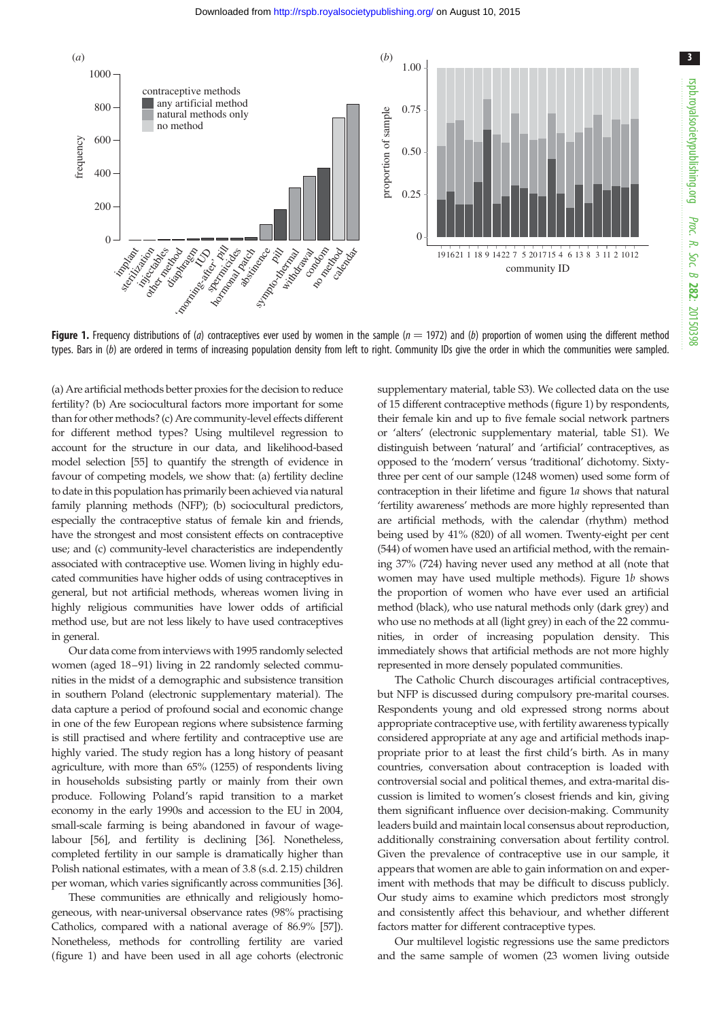

**Figure 1.** Frequency distributions of (a) contraceptives ever used by women in the sample ( $n = 1972$ ) and (b) proportion of women using the different method types. Bars in (b) are ordered in terms of increasing population density from left to right. Community IDs give the order in which the communities were sampled.

(a) Are artificial methods better proxies for the decision to reduce fertility? (b) Are sociocultural factors more important for some than for other methods? (c) Are community-level effects different for different method types? Using multilevel regression to account for the structure in our data, and likelihood-based model selection [[55](#page-8-0)] to quantify the strength of evidence in favour of competing models, we show that: (a) fertility decline to date in this population has primarily been achieved via natural family planning methods (NFP); (b) sociocultural predictors, especially the contraceptive status of female kin and friends, have the strongest and most consistent effects on contraceptive use; and (c) community-level characteristics are independently associated with contraceptive use. Women living in highly educated communities have higher odds of using contraceptives in general, but not artificial methods, whereas women living in highly religious communities have lower odds of artificial method use, but are not less likely to have used contraceptives in general.

Our data come from interviews with 1995 randomly selected women (aged 18–91) living in 22 randomly selected communities in the midst of a demographic and subsistence transition in southern Poland (electronic supplementary material). The data capture a period of profound social and economic change in one of the few European regions where subsistence farming is still practised and where fertility and contraceptive use are highly varied. The study region has a long history of peasant agriculture, with more than 65% (1255) of respondents living in households subsisting partly or mainly from their own produce. Following Poland's rapid transition to a market economy in the early 1990s and accession to the EU in 2004, small-scale farming is being abandoned in favour of wagelabour [\[56](#page-8-0)], and fertility is declining [[36](#page-8-0)]. Nonetheless, completed fertility in our sample is dramatically higher than Polish national estimates, with a mean of 3.8 (s.d. 2.15) children per woman, which varies significantly across communities [[36](#page-8-0)].

These communities are ethnically and religiously homogeneous, with near-universal observance rates (98% practising Catholics, compared with a national average of 86.9% [\[57\]](#page-8-0)). Nonetheless, methods for controlling fertility are varied (figure 1) and have been used in all age cohorts (electronic supplementary material, table S3). We collected data on the use of 15 different contraceptive methods (figure 1) by respondents, their female kin and up to five female social network partners or 'alters' (electronic supplementary material, table S1). We distinguish between 'natural' and 'artificial' contraceptives, as opposed to the 'modern' versus 'traditional' dichotomy. Sixtythree per cent of our sample (1248 women) used some form of contraception in their lifetime and figure 1a shows that natural 'fertility awareness' methods are more highly represented than are artificial methods, with the calendar (rhythm) method being used by 41% (820) of all women. Twenty-eight per cent (544) of women have used an artificial method, with the remaining 37% (724) having never used any method at all (note that women may have used multiple methods). Figure 1b shows the proportion of women who have ever used an artificial method (black), who use natural methods only (dark grey) and who use no methods at all (light grey) in each of the 22 communities, in order of increasing population density. This immediately shows that artificial methods are not more highly represented in more densely populated communities.

The Catholic Church discourages artificial contraceptives, but NFP is discussed during compulsory pre-marital courses. Respondents young and old expressed strong norms about appropriate contraceptive use, with fertility awareness typically considered appropriate at any age and artificial methods inappropriate prior to at least the first child's birth. As in many countries, conversation about contraception is loaded with controversial social and political themes, and extra-marital discussion is limited to women's closest friends and kin, giving them significant influence over decision-making. Community leaders build and maintain local consensus about reproduction, additionally constraining conversation about fertility control. Given the prevalence of contraceptive use in our sample, it appears that women are able to gain information on and experiment with methods that may be difficult to discuss publicly. Our study aims to examine which predictors most strongly and consistently affect this behaviour, and whether different factors matter for different contraceptive types.

Our multilevel logistic regressions use the same predictors and the same sample of women (23 women living outside 3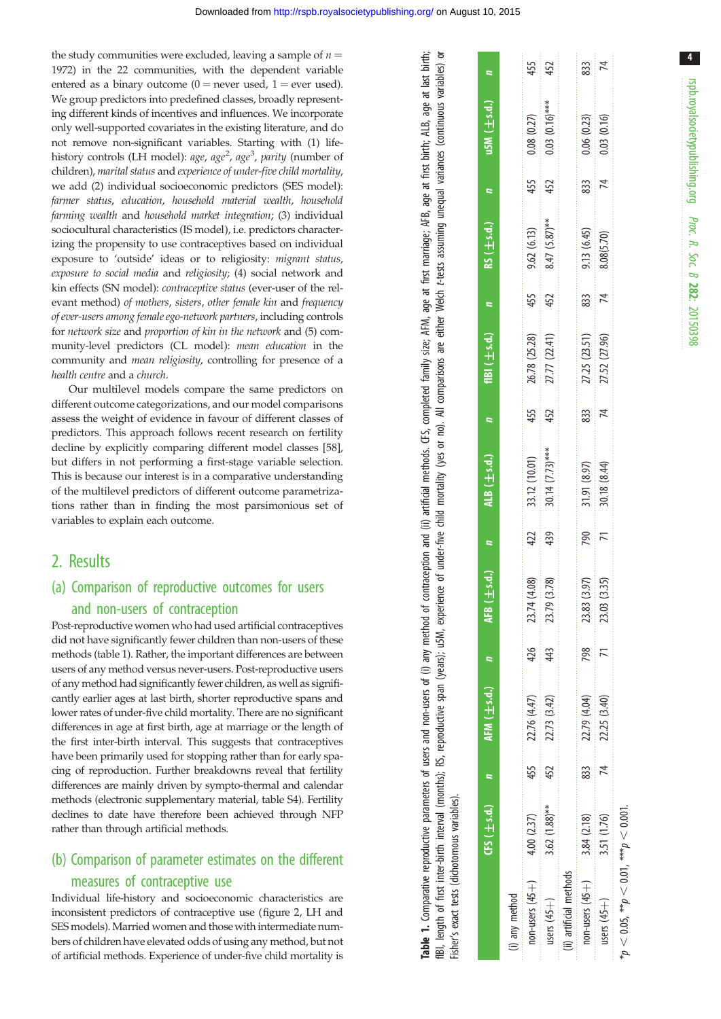<span id="page-3-0"></span>the study communities were excluded, leaving a sample of  $n =$ 1972) in the 22 communities, with the dependent variable entered as a binary outcome  $(0 =$  never used,  $1 =$  ever used). We group predictors into predefined classes, broadly representing different kinds of incentives and influences. We incorporate only well-supported covariates in the existing literature, and do not remove non-significant variables. Starting with (1) lifehistory controls (LH model): age, age<sup>2</sup>, age<sup>3</sup>, parity (number of children), marital status and experience of under-five child mortality, we add (2) individual socioeconomic predictors (SES model): farmer status, education, household material wealth, household farming wealth and household market integration; (3) individual sociocultural characteristics (IS model), i.e. predictors characterizing the propensity to use contraceptives based on individual exposure to 'outside' ideas or to religiosity: migrant status, exposure to social media and religiosity; (4) social network and kin effects (SN model): contraceptive status (ever-user of the relevant method) of mothers, sisters, other female kin and frequency of ever-users among female ego-network partners, including controls for network size and proportion of kin in the network and (5) community-level predictors (CL model): mean education in the community and mean religiosity, controlling for presence of a health centre and a church.

Our multilevel models compare the same predictors on different outcome categorizations, and our model comparisons assess the weight of evidence in favour of different classes of predictors. This approach follows recent research on fertility decline by explicitly comparing different model classes [\[58](#page-8-0)], but differs in not performing a first-stage variable selection. This is because our interest is in a comparative understanding of the multilevel predictors of different outcome parametrizations rather than in finding the most parsimonious set of variables to explain each outcome.

#### 2. Results

#### (a) Comparison of reproductive outcomes for users and non-users of contraception

Post-reproductive women who had used artificial contraceptives did not have significantly fewer children than non-users of these methods (table 1). Rather, the important differences are between users of any method versus never-users. Post-reproductive users of any method had significantly fewer children, as well as significantly earlier ages at last birth, shorter reproductive spans and lower rates of under-five child mortality. There are no significant differences in age at first birth, age at marriage or the length of the first inter-birth interval. This suggests that contraceptives have been primarily used for stopping rather than for early spacing of reproduction. Further breakdowns reveal that fertility differences are mainly driven by sympto-thermal and calendar methods (electronic supplementary material, table S4). Fertility declines to date have therefore been achieved through NFP rather than through artificial methods.

### (b) Comparison of parameter estimates on the different measures of contraceptive use

Individual life-history and socioeconomic characteristics are inconsistent predictors of contraceptive use [\(figure 2](#page-4-0), LH and SES models). Married women and those with intermediate numbers of children have elevated odds of using any method, but not of artificial methods. Experience of under-five child mortality is

| Fisher's exact tests (dichotomous variables). |                  |     |                        |     |                  |                |                                                 |     |                                |     |                                      |     |                                 |           |
|-----------------------------------------------|------------------|-----|------------------------|-----|------------------|----------------|-------------------------------------------------|-----|--------------------------------|-----|--------------------------------------|-----|---------------------------------|-----------|
|                                               | $(FS(\pm sd))$ n |     | AFM $(\pm s.d.)$ $n_1$ |     | $AFB(\pm sd.)$ n |                | ALB $(\pm s.d.)$ $n$                            |     | fiBI $(\pm s.d.)$ n            |     | $\mathsf{RS}(\pm s.d.)$ $\mathsf{n}$ |     | $\mathsf{u}$ 5M ( $\pm$ s.d.) n |           |
| (i) any method                                |                  |     |                        |     |                  |                |                                                 |     |                                |     |                                      |     |                                 |           |
| non-users $(45+)$                             | 4.00 (2.37)      | 455 | 22.76 (4.47)           | 426 | 23.74 (4.08)     | 422            |                                                 | 455 |                                | 455 | 9.62(6.13)                           | 455 | 0.08(0.27)                      |           |
| users $(45+)$                                 | $3.62(1.88)***$  | 452 | 22.73 (3.42)           | 43  | 23.79 (3.78)     | 439            | $\frac{33.12}{30.14} \frac{(10.01)}{(7.73)***}$ | 452 | 26.78 (25.28)<br>27.77 (22.41) | 452 | $8.47(5.87)$ **                      | 452 | $0.03$ $(0.16)$ ***             | 45<br>452 |
| (ii) artificial methods                       |                  |     |                        |     |                  |                |                                                 |     |                                |     |                                      |     |                                 |           |
| non-users $(45+)$                             | 3.84 (2.18)      | 83  | 22.79 (4.04)           | 798 | 23.83 (3.97)     | 790            |                                                 | 833 |                                | 83  |                                      | 83  | 0.06(0.23)                      | 83        |
| users $(45+)$                                 | 3.51 (1.76)      |     | 22.25 (3.40)           |     | 23.03 (3.35)     | $\overline{7}$ | $31.91(8.97)$<br>$30.18(8.44)$                  | 74  | 27.25 (23.51)<br>27.52 (27.96) | 74  | 9.13 (6.45)<br>8.08(5.70)            | 74  | 0.03(0.16)                      | ्र द      |
|                                               |                  |     |                        |     |                  |                |                                                 |     |                                |     |                                      |     |                                 |           |

Table 1. Comparative parameters of users and non-users of (i) any method of contraception and (ii) artificial methods. CFS, completed family size; AFM, age at first marriage; AFB, age at first birth; ALB, age at last birth flBI, length of first inter-birth interval (months); RS, reproductive span (years); uSM, experience of under-five child mortality (yes or no). All comparisons are either Welch t-tests assuming unequal variances (continuous

u5M,

reproductive span (years);

flBI, length of first inter-birth interval (months); RS,

Table 1. Comparative reproductive parameters of users and non-users of (i) any method of contraception and (ii) artificial methods. CFS, completed family size; AFM, age at first marriage; AFB, age at first birth; ALB, age experience of under-five child mortality (yes or no).

All comparisons are either Welch t-tests assuming unequal variances (continuous variables) or

 $*_p < 0.05, \, ^{**}_p > 0.01, \, ^{***}_p > 0.001.$  $< 0.05$ , \*\* $p < 0.01$ , \*\*\* $p < 0.001$ 

 $d_*$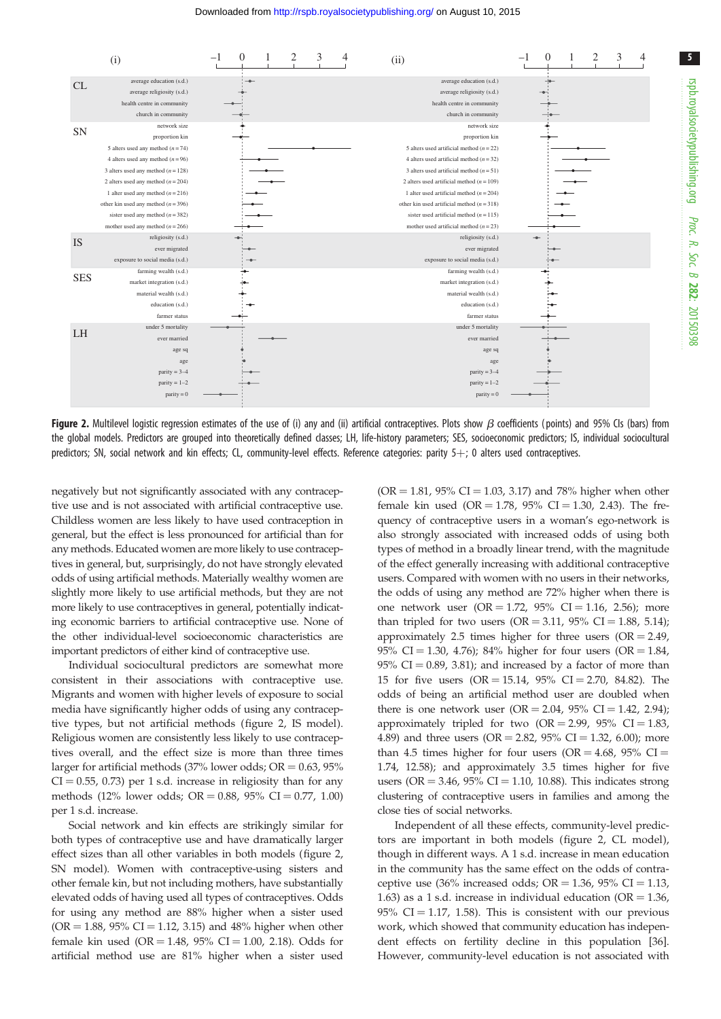5

<span id="page-4-0"></span>

Figure 2. Multilevel logistic regression estimates of the use of (i) any and (ii) artificial contraceptives. Plots show  $\beta$  coefficients (points) and 95% CIs (bars) from the global models. Predictors are grouped into theoretically defined classes; LH, life-history parameters; SES, socioeconomic predictors; IS, individual sociocultural predictors; SN, social network and kin effects; CL, community-level effects. Reference categories: parity 5+; 0 alters used contraceptives.

negatively but not significantly associated with any contraceptive use and is not associated with artificial contraceptive use. Childless women are less likely to have used contraception in general, but the effect is less pronounced for artificial than for any methods. Educated women are more likely to use contraceptives in general, but, surprisingly, do not have strongly elevated odds of using artificial methods. Materially wealthy women are slightly more likely to use artificial methods, but they are not more likely to use contraceptives in general, potentially indicating economic barriers to artificial contraceptive use. None of the other individual-level socioeconomic characteristics are important predictors of either kind of contraceptive use.

Individual sociocultural predictors are somewhat more consistent in their associations with contraceptive use. Migrants and women with higher levels of exposure to social media have significantly higher odds of using any contraceptive types, but not artificial methods (figure 2, IS model). Religious women are consistently less likely to use contraceptives overall, and the effect size is more than three times larger for artificial methods (37% lower odds;  $OR = 0.63$ , 95%  $CI = 0.55, 0.73$  per 1 s.d. increase in religiosity than for any methods (12% lower odds;  $OR = 0.88$ , 95% CI = 0.77, 1.00) per 1 s.d. increase.

Social network and kin effects are strikingly similar for both types of contraceptive use and have dramatically larger effect sizes than all other variables in both models (figure 2, SN model). Women with contraceptive-using sisters and other female kin, but not including mothers, have substantially elevated odds of having used all types of contraceptives. Odds for using any method are 88% higher when a sister used  $(OR = 1.88, 95\% \text{ CI} = 1.12, 3.15)$  and 48% higher when other female kin used  $(OR = 1.48, 95\% \text{ CI} = 1.00, 2.18)$ . Odds for artificial method use are 81% higher when a sister used  $(OR = 1.81, 95\% CI = 1.03, 3.17)$  and 78% higher when other female kin used  $(OR = 1.78, 95\% \text{ CI} = 1.30, 2.43)$ . The frequency of contraceptive users in a woman's ego-network is also strongly associated with increased odds of using both types of method in a broadly linear trend, with the magnitude of the effect generally increasing with additional contraceptive users. Compared with women with no users in their networks, the odds of using any method are 72% higher when there is one network user  $(OR = 1.72, 95\% \text{ CI} = 1.16, 2.56)$ ; more than tripled for two users  $(OR = 3.11, 95\% CI = 1.88, 5.14)$ : approximately 2.5 times higher for three users  $(OR = 2.49,$ 95% CI = 1.30, 4.76); 84% higher for four users  $(OR = 1.84,$ 95% CI =  $0.89$ , 3.81); and increased by a factor of more than 15 for five users  $(OR = 15.14, 95\% \text{ CI} = 2.70, 84.82)$ . The odds of being an artificial method user are doubled when there is one network user  $(OR = 2.04, 95\% \text{ CI} = 1.42, 2.94)$ ; approximately tripled for two  $(OR = 2.99, 95\% \text{ CI} = 1.83)$ . 4.89) and three users  $(OR = 2.82, 95\% \text{ CI} = 1.32, 6.00)$ ; more than 4.5 times higher for four users  $(OR = 4.68, 95\% \text{ CI} =$ 1.74, 12.58); and approximately 3.5 times higher for five users ( $OR = 3.46$ ,  $95\%$   $CI = 1.10$ , 10.88). This indicates strong clustering of contraceptive users in families and among the close ties of social networks.

Independent of all these effects, community-level predictors are important in both models (figure 2, CL model), though in different ways. A 1 s.d. increase in mean education in the community has the same effect on the odds of contraceptive use  $(36\%$  increased odds; OR = 1.36, 95% CI = 1.13, 1.63) as a 1 s.d. increase in individual education ( $OR = 1.36$ , 95% CI = 1.17, 1.58). This is consistent with our previous work, which showed that community education has independent effects on fertility decline in this population [[36\]](#page-8-0). However, community-level education is not associated with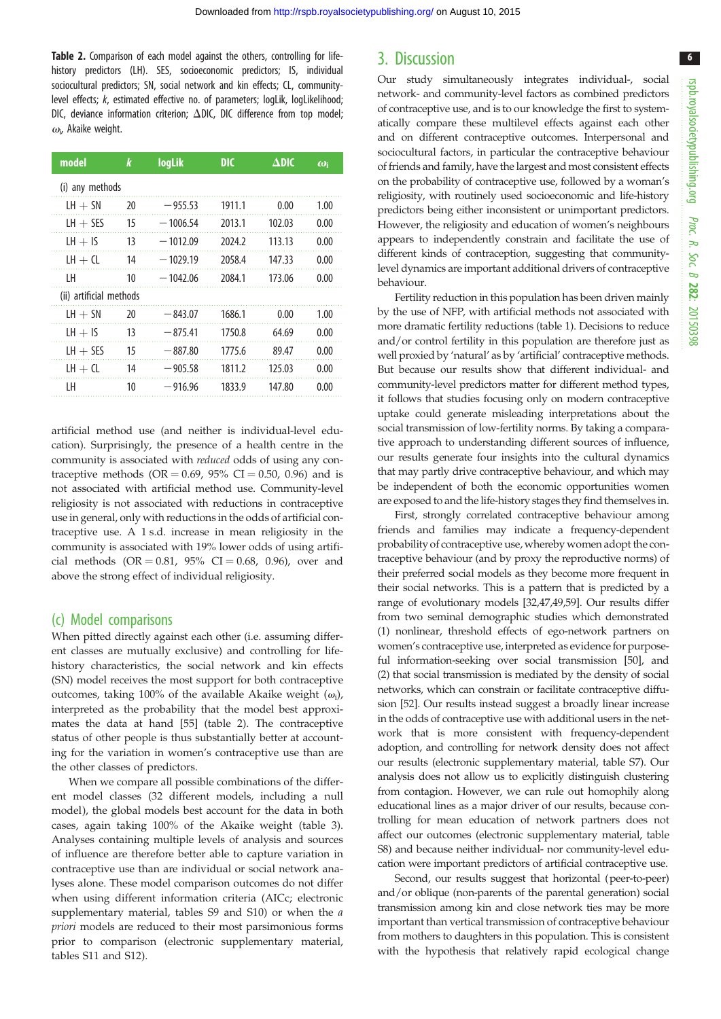Table 2. Comparison of each model against the others, controlling for lifehistory predictors (LH). SES, socioeconomic predictors; IS, individual sociocultural predictors; SN, social network and kin effects; CL, communitylevel effects; k, estimated effective no. of parameters; logLik, logLikelihood; DIC, deviance information criterion;  $\Delta$ DIC, DIC difference from top model;  $\omega_{\text{i}}$ , Akaike weight.

| model                   | k  | <b>logLik</b> | DIC    | $\Delta$ dic | $\omega_i$ |
|-------------------------|----|---------------|--------|--------------|------------|
| (i) any methods         |    |               |        |              |            |
| $LH + SN$               | 20 | $-955.53$     | 1911.1 | 0.00         | 1.00       |
| $LH + SES$              | 15 | $-1006.54$    | 2013.1 | 102.03       | 0.00       |
| $LH + IS$               | 13 | $-1012.09$    | 2024.2 | 113.13       | 0.00       |
| $LH + CL$               | 14 | $-1029.19$    | 2058.4 | 147.33       | 0.00       |
| IН                      | 10 | $-1042.06$    | 2084.1 | 173.06       | 0.00       |
| (ii) artificial methods |    |               |        |              |            |
| $LH + SN$               | 20 | $-843.07$     | 1686.1 | 0.00         | 1.00       |
| $LH + IS$               | 13 | $-875.41$     | 1750.8 | 64.69        | 0.00       |
| $LH + SES$              | 15 | $-887.80$     | 1775.6 | 89.47        | 0.00       |
| $LH + CL$               | 14 | $-905.58$     | 1811.2 | 125.03       | 0.00       |
| LН                      | 10 | $-916.96$     | 1833.9 | 147.80       | 0.00       |

artificial method use (and neither is individual-level education). Surprisingly, the presence of a health centre in the community is associated with reduced odds of using any contraceptive methods (OR =  $0.69$ ,  $95\%$  CI = 0.50, 0.96) and is not associated with artificial method use. Community-level religiosity is not associated with reductions in contraceptive use in general, only with reductions in the odds of artificial contraceptive use. A 1 s.d. increase in mean religiosity in the community is associated with 19% lower odds of using artificial methods (OR =  $0.81$ ,  $95\%$  CI =  $0.68$ , 0.96), over and above the strong effect of individual religiosity.

#### (c) Model comparisons

When pitted directly against each other (i.e. assuming different classes are mutually exclusive) and controlling for lifehistory characteristics, the social network and kin effects (SN) model receives the most support for both contraceptive outcomes, taking 100% of the available Akaike weight  $(\omega_i)$ , interpreted as the probability that the model best approximates the data at hand [[55](#page-8-0)] (table 2). The contraceptive status of other people is thus substantially better at accounting for the variation in women's contraceptive use than are the other classes of predictors.

When we compare all possible combinations of the different model classes (32 different models, including a null model), the global models best account for the data in both cases, again taking 100% of the Akaike weight ([table 3](#page-6-0)). Analyses containing multiple levels of analysis and sources of influence are therefore better able to capture variation in contraceptive use than are individual or social network analyses alone. These model comparison outcomes do not differ when using different information criteria (AICc; electronic supplementary material, tables S9 and S10) or when the *a* priori models are reduced to their most parsimonious forms prior to comparison (electronic supplementary material, tables S11 and S12).

#### 3. Discussion

Our study simultaneously integrates individual-, social network- and community-level factors as combined predictors of contraceptive use, and is to our knowledge the first to systematically compare these multilevel effects against each other and on different contraceptive outcomes. Interpersonal and sociocultural factors, in particular the contraceptive behaviour of friends and family, have the largest and most consistent effects on the probability of contraceptive use, followed by a woman's religiosity, with routinely used socioeconomic and life-history predictors being either inconsistent or unimportant predictors. However, the religiosity and education of women's neighbours appears to independently constrain and facilitate the use of different kinds of contraception, suggesting that communitylevel dynamics are important additional drivers of contraceptive behaviour.

Fertility reduction in this population has been driven mainly by the use of NFP, with artificial methods not associated with more dramatic fertility reductions ([table 1\)](#page-3-0). Decisions to reduce and/or control fertility in this population are therefore just as well proxied by 'natural' as by 'artificial' contraceptive methods. But because our results show that different individual- and community-level predictors matter for different method types, it follows that studies focusing only on modern contraceptive uptake could generate misleading interpretations about the social transmission of low-fertility norms. By taking a comparative approach to understanding different sources of influence, our results generate four insights into the cultural dynamics that may partly drive contraceptive behaviour, and which may be independent of both the economic opportunities women are exposed to and the life-history stages they find themselves in.

First, strongly correlated contraceptive behaviour among friends and families may indicate a frequency-dependent probability of contraceptive use, whereby women adopt the contraceptive behaviour (and by proxy the reproductive norms) of their preferred social models as they become more frequent in their social networks. This is a pattern that is predicted by a range of evolutionary models [[32,47,49,59\]](#page-8-0). Our results differ from two seminal demographic studies which demonstrated (1) nonlinear, threshold effects of ego-network partners on women's contraceptive use, interpreted as evidence for purposeful information-seeking over social transmission [\[50](#page-8-0)], and (2) that social transmission is mediated by the density of social networks, which can constrain or facilitate contraceptive diffusion [\[52](#page-8-0)]. Our results instead suggest a broadly linear increase in the odds of contraceptive use with additional users in the network that is more consistent with frequency-dependent adoption, and controlling for network density does not affect our results (electronic supplementary material, table S7). Our analysis does not allow us to explicitly distinguish clustering from contagion. However, we can rule out homophily along educational lines as a major driver of our results, because controlling for mean education of network partners does not affect our outcomes (electronic supplementary material, table S8) and because neither individual- nor community-level education were important predictors of artificial contraceptive use.

Second, our results suggest that horizontal (peer-to-peer) and/or oblique (non-parents of the parental generation) social transmission among kin and close network ties may be more important than vertical transmission of contraceptive behaviour from mothers to daughters in this population. This is consistent with the hypothesis that relatively rapid ecological change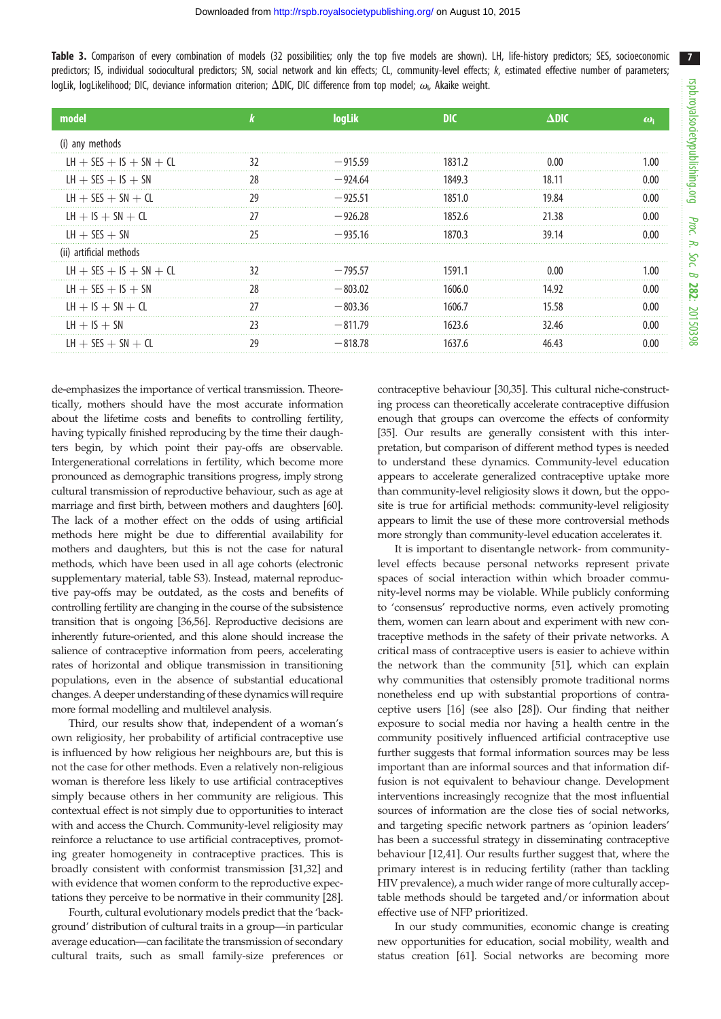7

<span id="page-6-0"></span>Table 3. Comparison of every combination of models (32 possibilities; only the top five models are shown). LH, life-history predictors; SES, socioeconomic predictors; IS, individual sociocultural predictors; SN, social network and kin effects; CL, community-level effects; k, estimated effective number of parameters; logLik, logLikelihood; DIC, deviance information criterion;  $\Delta$ DIC, DIC difference from top model;  $\omega_{\rm i}$ , Akaike weight.

| model                     |    | logLik    | <b>DIC</b> | $\Delta$ DIC |       |
|---------------------------|----|-----------|------------|--------------|-------|
| (i) any methods           |    |           |            |              |       |
| $LH + SES + IS + SN + CL$ |    | $-915.59$ | 1831.2     | 0.00         | . OC  |
| $LH + SES + IS + SN$      | 28 | $-924.64$ | 1849.3     | 18.11        | ) በበ  |
| $LH + SES + SN + CL$      | 29 | $-925.51$ | 1851.0     | 19.84        | 0 U U |
| $LH + IS + SN + CL$       |    | $-926.28$ | 1852.6     | 21.38        |       |
| $LH + SES + SN$           |    | $-935.16$ | 1870.3     | 39.14        |       |
| (ii) artificial methods   |    |           |            |              |       |
| $LH + SES + IS + SN + CL$ | 32 | $-795.57$ | 1591.1     | 0.00         | 1.00  |
| $LH + SES + IS + SN$      | 28 | $-803.02$ | 1606.0     | 14.92        | າ ດດ  |
| $LH + IS + SN + CL$       |    | $-80336$  | 1606.7     | 15.58        |       |
| $LH + IS + SN$            | ን3 | $-811.79$ | 1623.6     | 32.46        | 0.00  |
| $LH + SES + SN + CL$      | 79 | $-818.78$ | 1637.6     | 46.43        |       |

de-emphasizes the importance of vertical transmission. Theoretically, mothers should have the most accurate information about the lifetime costs and benefits to controlling fertility, having typically finished reproducing by the time their daughters begin, by which point their pay-offs are observable. Intergenerational correlations in fertility, which become more pronounced as demographic transitions progress, imply strong cultural transmission of reproductive behaviour, such as age at marriage and first birth, between mothers and daughters [[60](#page-8-0)]. The lack of a mother effect on the odds of using artificial methods here might be due to differential availability for mothers and daughters, but this is not the case for natural methods, which have been used in all age cohorts (electronic supplementary material, table S3). Instead, maternal reproductive pay-offs may be outdated, as the costs and benefits of controlling fertility are changing in the course of the subsistence transition that is ongoing [\[36,56](#page-8-0)]. Reproductive decisions are inherently future-oriented, and this alone should increase the salience of contraceptive information from peers, accelerating rates of horizontal and oblique transmission in transitioning populations, even in the absence of substantial educational changes. A deeper understanding of these dynamics will require more formal modelling and multilevel analysis.

Third, our results show that, independent of a woman's own religiosity, her probability of artificial contraceptive use is influenced by how religious her neighbours are, but this is not the case for other methods. Even a relatively non-religious woman is therefore less likely to use artificial contraceptives simply because others in her community are religious. This contextual effect is not simply due to opportunities to interact with and access the Church. Community-level religiosity may reinforce a reluctance to use artificial contraceptives, promoting greater homogeneity in contraceptive practices. This is broadly consistent with conformist transmission [[31,32\]](#page-8-0) and with evidence that women conform to the reproductive expectations they perceive to be normative in their community [\[28](#page-8-0)].

Fourth, cultural evolutionary models predict that the 'background' distribution of cultural traits in a group—in particular average education—can facilitate the transmission of secondary cultural traits, such as small family-size preferences or contraceptive behaviour [\[30,35](#page-8-0)]. This cultural niche-constructing process can theoretically accelerate contraceptive diffusion enough that groups can overcome the effects of conformity [[35](#page-8-0)]. Our results are generally consistent with this interpretation, but comparison of different method types is needed to understand these dynamics. Community-level education appears to accelerate generalized contraceptive uptake more than community-level religiosity slows it down, but the opposite is true for artificial methods: community-level religiosity appears to limit the use of these more controversial methods more strongly than community-level education accelerates it.

It is important to disentangle network- from communitylevel effects because personal networks represent private spaces of social interaction within which broader community-level norms may be violable. While publicly conforming to 'consensus' reproductive norms, even actively promoting them, women can learn about and experiment with new contraceptive methods in the safety of their private networks. A critical mass of contraceptive users is easier to achieve within the network than the community [\[51](#page-8-0)], which can explain why communities that ostensibly promote traditional norms nonetheless end up with substantial proportions of contraceptive users [[16\]](#page-7-0) (see also [[28\]](#page-8-0)). Our finding that neither exposure to social media nor having a health centre in the community positively influenced artificial contraceptive use further suggests that formal information sources may be less important than are informal sources and that information diffusion is not equivalent to behaviour change. Development interventions increasingly recognize that the most influential sources of information are the close ties of social networks, and targeting specific network partners as 'opinion leaders' has been a successful strategy in disseminating contraceptive behaviour [\[12](#page-7-0)[,41](#page-8-0)]. Our results further suggest that, where the primary interest is in reducing fertility (rather than tackling HIV prevalence), a much wider range of more culturally acceptable methods should be targeted and/or information about effective use of NFP prioritized.

In our study communities, economic change is creating new opportunities for education, social mobility, wealth and status creation [[61\]](#page-8-0). Social networks are becoming more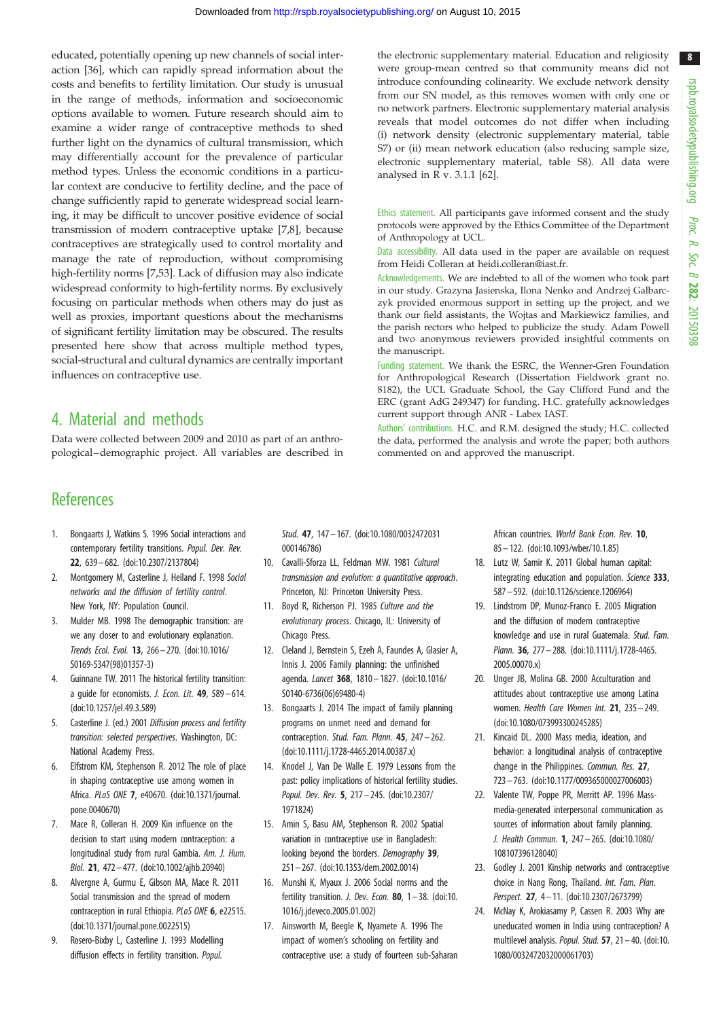<span id="page-7-0"></span>educated, potentially opening up new channels of social interaction [\[36](#page-8-0)], which can rapidly spread information about the costs and benefits to fertility limitation. Our study is unusual in the range of methods, information and socioeconomic options available to women. Future research should aim to examine a wider range of contraceptive methods to shed further light on the dynamics of cultural transmission, which may differentially account for the prevalence of particular method types. Unless the economic conditions in a particular context are conducive to fertility decline, and the pace of change sufficiently rapid to generate widespread social learning, it may be difficult to uncover positive evidence of social transmission of modern contraceptive uptake [7,8], because contraceptives are strategically used to control mortality and manage the rate of reproduction, without compromising high-fertility norms [7,[53\]](#page-8-0). Lack of diffusion may also indicate widespread conformity to high-fertility norms. By exclusively focusing on particular methods when others may do just as well as proxies, important questions about the mechanisms of significant fertility limitation may be obscured. The results presented here show that across multiple method types, social-structural and cultural dynamics are centrally important influences on contraceptive use.

## 4. Material and methods

Data were collected between 2009 and 2010 as part of an anthropological –demographic project. All variables are described in the electronic supplementary material. Education and religiosity were group-mean centred so that community means did not introduce confounding colinearity. We exclude network density from our SN model, as this removes women with only one or no network partners. Electronic supplementary material analysis reveals that model outcomes do not differ when including (i) network density (electronic supplementary material, table S7) or (ii) mean network education (also reducing sample size, electronic supplementary material, table S8). All data were analysed in R v. 3.1.1 [\[62\]](#page-8-0).

Ethics statement. All participants gave informed consent and the study protocols were approved by the Ethics Committee of the Department of Anthropology at UCL.

Data accessibility. All data used in the paper are available on request from Heidi Colleran at<heidi.colleran@iast.fr>.

Acknowledgements. We are indebted to all of the women who took part in our study. Grazyna Jasienska, Ilona Nenko and Andrzej Galbarczyk provided enormous support in setting up the project, and we thank our field assistants, the Wojtas and Markiewicz families, and the parish rectors who helped to publicize the study. Adam Powell and two anonymous reviewers provided insightful comments on the manuscript.

Funding statement. We thank the ESRC, the Wenner-Gren Foundation for Anthropological Research (Dissertation Fieldwork grant no. 8182), the UCL Graduate School, the Gay Clifford Fund and the ERC (grant AdG 249347) for funding. H.C. gratefully acknowledges current support through ANR - Labex IAST.

Authors' contributions. H.C. and R.M. designed the study; H.C. collected the data, performed the analysis and wrote the paper; both authors commented on and approved the manuscript.

## **References**

- 1. Bongaarts J, Watkins S. 1996 Social interactions and contemporary fertility transitions. Popul. Dev. Rev. 22, 639– 682. ([doi:10.2307/2137804\)](http://dx.doi.org/10.2307/2137804)
- 2. Montgomery M, Casterline J, Heiland F, 1998 Social networks and the diffusion of fertility control. New York, NY: Population Council.
- 3. Mulder MB. 1998 The demographic transition: are we any closer to and evolutionary explanation. Trends Ecol. Evol. 13, 266– 270. ([doi:10.1016/](http://dx.doi.org/10.1016/S0169-5347(98)01357-3) [S0169-5347\(98\)01357-3\)](http://dx.doi.org/10.1016/S0169-5347(98)01357-3)
- 4. Guinnane TW. 2011 The historical fertility transition: a quide for economists. *J. Econ. Lit.* **49**,  $589 - 614$ . [\(doi:10.1257/jel.49.3.589\)](http://dx.doi.org/10.1257/jel.49.3.589)
- 5. Casterline J. (ed.) 2001 Diffusion process and fertility transition: selected perspectives. Washington, DC: National Academy Press.
- 6. Elfstrom KM, Stephenson R. 2012 The role of place in shaping contraceptive use among women in Africa. PLoS ONE 7, e40670. [\(doi:10.1371/journal.](http://dx.doi.org/10.1371/journal.pone.0040670) [pone.0040670](http://dx.doi.org/10.1371/journal.pone.0040670))
- 7. Mace R, Colleran H. 2009 Kin influence on the decision to start using modern contraception: a longitudinal study from rural Gambia. Am. J. Hum. Biol. 21, 472– 477. ([doi:10.1002/ajhb.20940\)](http://dx.doi.org/10.1002/ajhb.20940)
- 8. Alvergne A, Gurmu E, Gibson MA, Mace R. 2011 Social transmission and the spread of modern contraception in rural Ethiopia. PLoS ONE 6, e22515. [\(doi:10.1371/journal.pone.0022515\)](http://dx.doi.org/10.1371/journal.pone.0022515)
- 9. Rosero-Bixby L, Casterline J. 1993 Modelling diffusion effects in fertility transition. Popul.

Stud. 47, 147 – 167. [\(doi:10.1080/0032472031](http://dx.doi.org/10.1080/0032472031000146786) [000146786](http://dx.doi.org/10.1080/0032472031000146786))

- 10. Cavalli-Sforza LL, Feldman MW. 1981 Cultural transmission and evolution: a quantitative approach. Princeton, NJ: Princeton University Press.
- 11. Boyd R, Richerson PJ. 1985 Culture and the evolutionary process. Chicago, IL: University of Chicago Press.
- 12. Cleland J, Bernstein S, Ezeh A, Faundes A, Glasier A, Innis J. 2006 Family planning: the unfinished agenda. Lancet 368, 1810– 1827. [\(doi:10.1016/](http://dx.doi.org/10.1016/S0140-6736(06)69480-4) [S0140-6736\(06\)69480-4](http://dx.doi.org/10.1016/S0140-6736(06)69480-4))
- 13. Bongaarts J. 2014 The impact of family planning programs on unmet need and demand for contraception. Stud. Fam. Plann. 45, 247– 262. [\(doi:10.1111/j.1728-4465.2014.00387.x\)](http://dx.doi.org/10.1111/j.1728-4465.2014.00387.x)
- 14. Knodel J, Van De Walle E. 1979 Lessons from the past: policy implications of historical fertility studies. Popul. Dev. Rev. 5, 217– 245. [\(doi:10.2307/](http://dx.doi.org/10.2307/1971824) [1971824\)](http://dx.doi.org/10.2307/1971824)
- 15. Amin S, Basu AM, Stephenson R. 2002 Spatial variation in contraceptive use in Bangladesh: looking beyond the borders. Demography 39, 251 – 267. [\(doi:10.1353/dem.2002.0014\)](http://dx.doi.org/10.1353/dem.2002.0014)
- 16. Munshi K, Myaux J. 2006 Social norms and the fertility transition. *J. Dev. Econ.* **80**,  $1 - 38$ . [\(doi:10.](http://dx.doi.org/10.1016/j.jdeveco.2005.01.002) [1016/j.jdeveco.2005.01.002](http://dx.doi.org/10.1016/j.jdeveco.2005.01.002))
- 17. Ainsworth M, Beegle K, Nyamete A. 1996 The impact of women's schooling on fertility and contraceptive use: a study of fourteen sub-Saharan

African countries. World Bank Econ. Rev. 10, 85– 122. ([doi:10.1093/wber/10.1.85\)](http://dx.doi.org/10.1093/wber/10.1.85)

- 18. Lutz W, Samir K. 2011 Global human capital: integrating education and population. Science 333, 587– 592. [\(doi:10.1126/science.1206964](http://dx.doi.org/10.1126/science.1206964))
- 19. Lindstrom DP, Munoz-Franco E. 2005 Migration and the diffusion of modern contraceptive knowledge and use in rural Guatemala. Stud. Fam. Plann. 36, 277 - 288. [\(doi:10.1111/j.1728-4465.](http://dx.doi.org/10.1111/j.1728-4465.2005.00070.x) [2005.00070.x](http://dx.doi.org/10.1111/j.1728-4465.2005.00070.x))
- 20. Unger JB, Molina GB. 2000 Acculturation and attitudes about contraceptive use among Latina women. Health Care Women Int. 21, 235– 249. ([doi:10.1080/073993300245285](http://dx.doi.org/10.1080/073993300245285))
- 21. Kincaid DL. 2000 Mass media, ideation, and behavior: a longitudinal analysis of contraceptive change in the Philippines. Commun. Res. 27, 723– 763. [\(doi:10.1177/009365000027006003](http://dx.doi.org/10.1177/009365000027006003))
- 22. Valente TW, Poppe PR, Merritt AP. 1996 Massmedia-generated interpersonal communication as sources of information about family planning. J. Health Commun. 1, 247– 265. ([doi:10.1080/](http://dx.doi.org/10.1080/108107396128040) [108107396128040](http://dx.doi.org/10.1080/108107396128040))
- 23. Godley J. 2001 Kinship networks and contraceptive choice in Nang Rong, Thailand. Int. Fam. Plan. Perspect. 27, 4– 11. [\(doi:10.2307/2673799](http://dx.doi.org/10.2307/2673799))
- 24. McNay K, Arokiasamy P, Cassen R. 2003 Why are uneducated women in India using contraception? A multilevel analysis. Popul. Stud.  $57$ ,  $21 - 40$ . [\(doi:10.](http://dx.doi.org/10.1080/0032472032000061703) [1080/0032472032000061703\)](http://dx.doi.org/10.1080/0032472032000061703)